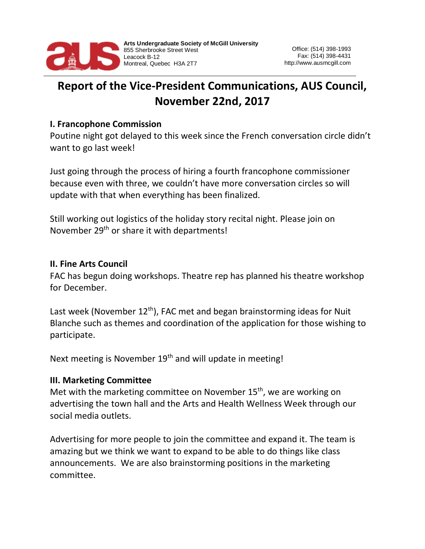

# **Report of the Vice-President Communications, AUS Council, November 22nd, 2017**

#### **I. Francophone Commission**

Poutine night got delayed to this week since the French conversation circle didn't want to go last week!

Just going through the process of hiring a fourth francophone commissioner because even with three, we couldn't have more conversation circles so will update with that when everything has been finalized.

Still working out logistics of the holiday story recital night. Please join on November 29<sup>th</sup> or share it with departments!

### **II. Fine Arts Council**

FAC has begun doing workshops. Theatre rep has planned his theatre workshop for December.

Last week (November  $12<sup>th</sup>$ ), FAC met and began brainstorming ideas for Nuit Blanche such as themes and coordination of the application for those wishing to participate.

Next meeting is November 19<sup>th</sup> and will update in meeting!

## **III. Marketing Committee**

Met with the marketing committee on November  $15<sup>th</sup>$ , we are working on advertising the town hall and the Arts and Health Wellness Week through our social media outlets.

Advertising for more people to join the committee and expand it. The team is amazing but we think we want to expand to be able to do things like class announcements. We are also brainstorming positions in the marketing committee.